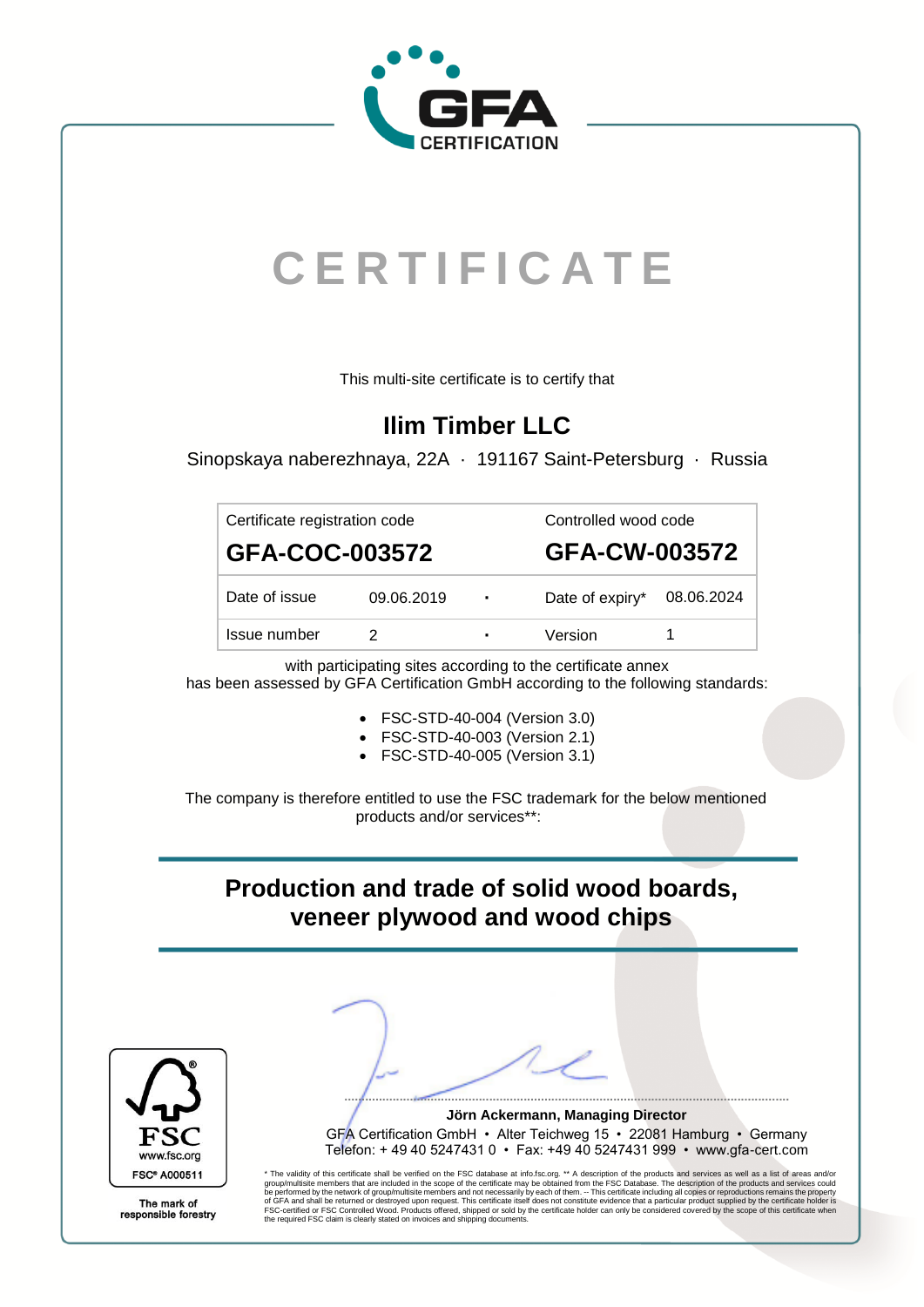

# **C E R T I F I C A T E**

This multi-site certificate is to certify that

## **Ilim Timber LLC**

Sinopskaya naberezhnaya, 22A · 191167 Saint-Petersburg · Russia

| Certificate registration code |                |      | Controlled wood code       |               |  |
|-------------------------------|----------------|------|----------------------------|---------------|--|
|                               | GFA-COC-003572 |      |                            | GFA-CW-003572 |  |
| Date of issue                 | 09.06.2019     | - 11 | Date of expiry* 08.06.2024 |               |  |
| Issue number                  |                | ٠    | Version                    |               |  |

with participating sites according to the certificate annex has been assessed by GFA Certification GmbH according to the following standards:

- FSC-STD-40-004 (Version 3.0)
- FSC-STD-40-003 (Version 2.1)
- FSC-STD-40-005 (Version 3.1)

The company is therefore entitled to use the FSC trademark for the below mentioned products and/or services\*\*:

#### **Production and trade of solid wood boards, veneer plywood and wood chips**



**................................................................................................................................. Jörn Ackermann, Managing Director** GFA Certification GmbH • Alter Teichweg 15 • 22081 Hamburg • Germany Telefon: + 49 40 5247431 0 • Fax: +49 40 5247431 999 • www.gfa-cert.com

\* The validity of this certificate shall be verified on the FSC database a[t info.fsc.org.](https://info.fsc.org/) \*\* A description of the products and services as well as a list of areas and/or<br>group/multisite members that are included in the sco

The mark of responsible forestry